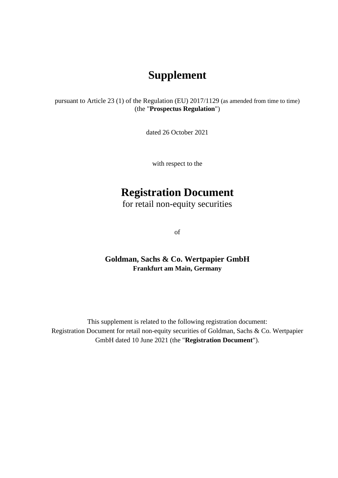## **Supplement**

pursuant to Article 23 (1) of the Regulation (EU) 2017/1129 (as amended from time to time) (the "**Prospectus Regulation**")

dated 26 October 2021

with respect to the

## **Registration Document**

for retail non-equity securities

of

## **Goldman, Sachs & Co. Wertpapier GmbH Frankfurt am Main, Germany**

This supplement is related to the following registration document: Registration Document for retail non-equity securities of Goldman, Sachs & Co. Wertpapier GmbH dated 10 June 2021 (the "**Registration Document**").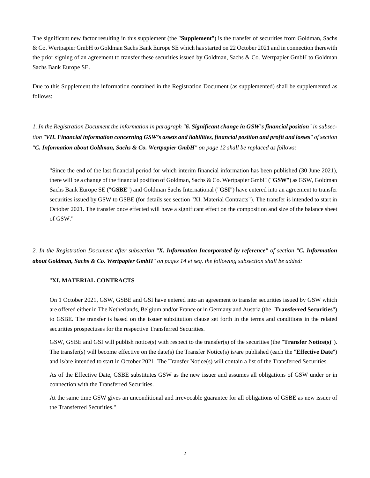The significant new factor resulting in this supplement (the "**Supplement**") is the transfer of securities from Goldman, Sachs & Co. Wertpapier GmbH to Goldman Sachs Bank Europe SE which has started on 22 October 2021 and in connection therewith the prior signing of an agreement to transfer these securities issued by Goldman, Sachs & Co. Wertpapier GmbH to Goldman Sachs Bank Europe SE.

Due to this Supplement the information contained in the Registration Document (as supplemented) shall be supplemented as follows:

*1. In the Registration Document the information in paragraph "6. Significant change in GSW's financial position" in subsection "VII. Financial information concerning GSW's assets and liabilities, financial position and profit and losses" of section "C. Information about Goldman, Sachs & Co. Wertpapier GmbH" on page 12 shall be replaced as follows:* 

"Since the end of the last financial period for which interim financial information has been published (30 June 2021), there will be a change of the financial position of Goldman, Sachs & Co. Wertpapier GmbH ("**GSW**") as GSW, Goldman Sachs Bank Europe SE ("**GSBE**") and Goldman Sachs International ("**GSI**") have entered into an agreement to transfer securities issued by GSW to GSBE (for details see section "XI. Material Contracts"). The transfer is intended to start in October 2021. The transfer once effected will have a significant effect on the composition and size of the balance sheet of GSW."

*2. In the Registration Document after subsection "X. Information Incorporated by reference" of section "C. Information about Goldman, Sachs & Co. Wertpapier GmbH" on pages 14 et seq. the following subsection shall be added:* 

## "**XI. MATERIAL CONTRACTS**

On 1 October 2021, GSW, GSBE and GSI have entered into an agreement to transfer securities issued by GSW which are offered either in The Netherlands, Belgium and/or France or in Germany and Austria (the "**Transferred Securities**") to GSBE. The transfer is based on the issuer substitution clause set forth in the terms and conditions in the related securities prospectuses for the respective Transferred Securities.

GSW, GSBE and GSI will publish notice(s) with respect to the transfer(s) of the securities (the "**Transfer Notice(s)**"). The transfer(s) will become effective on the date(s) the Transfer Notice(s) is/are published (each the "**Effective Date**") and is/are intended to start in October 2021. The Transfer Notice(s) will contain a list of the Transferred Securities.

As of the Effective Date, GSBE substitutes GSW as the new issuer and assumes all obligations of GSW under or in connection with the Transferred Securities.

At the same time GSW gives an unconditional and irrevocable guarantee for all obligations of GSBE as new issuer of the Transferred Securities."